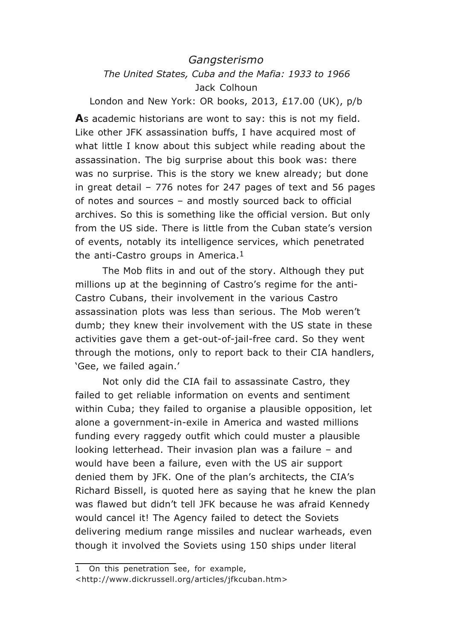## *Gangsterismo The United States, Cuba and the Mafia: 1933 to 1966* Jack Colhoun

London and New York: OR books, 2013, £17.00 (UK), p/b

**A**s academic historians are wont to say: this is not my field. Like other JFK assassination buffs, I have acquired most of what little I know about this subject while reading about the assassination. The big surprise about this book was: there was no surprise. This is the story we knew already; but done in great detail – 776 notes for 247 pages of text and 56 pages of notes and sources – and mostly sourced back to official archives. So this is something like the official version. But only from the US side. There is little from the Cuban state's version of events, notably its intelligence services, which penetrated the anti-Castro groups in America. $1$ 

The Mob flits in and out of the story. Although they put millions up at the beginning of Castro's regime for the anti-Castro Cubans, their involvement in the various Castro assassination plots was less than serious. The Mob weren't dumb; they knew their involvement with the US state in these activities gave them a get-out-of-jail-free card. So they went through the motions, only to report back to their CIA handlers, 'Gee, we failed again.'

Not only did the CIA fail to assassinate Castro, they failed to get reliable information on events and sentiment within Cuba; they failed to organise a plausible opposition, let alone a government-in-exile in America and wasted millions funding every raggedy outfit which could muster a plausible looking letterhead. Their invasion plan was a failure – and would have been a failure, even with the US air support denied them by JFK. One of the plan's architects, the CIA's Richard Bissell, is quoted here as saying that he knew the plan was flawed but didn't tell JFK because he was afraid Kennedy would cancel it! The Agency failed to detect the Soviets delivering medium range missiles and nuclear warheads, even though it involved the Soviets using 150 ships under literal

<sup>1</sup> On this penetration see, for example, <http://www.dickrussell.org/articles/jfkcuban.htm>